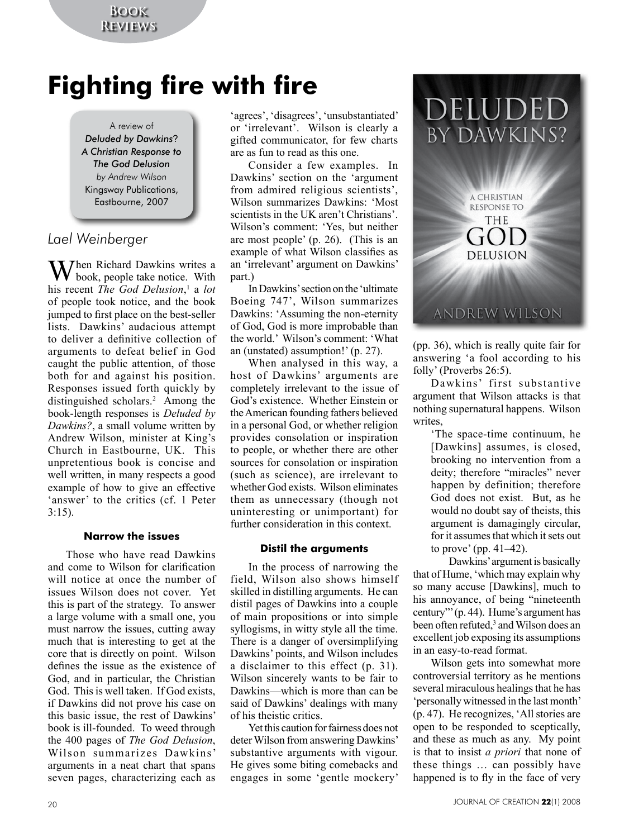# **Fighting fire with fire**

A review of *Deluded by Dawkins*? *A Christian Response to The God Delusion by Andrew Wilson* Kingsway Publications, Eastbourne, 2007

## *Lael Weinberger*

**X** Then Richard Dawkins writes a book, people take notice. With his recent *The God Delusion*, 1 a *lot* of people took notice, and the book jumped to first place on the best-seller lists. Dawkins' audacious attempt to deliver a definitive collection of arguments to defeat belief in God caught the public attention, of those both for and against his position. Responses issued forth quickly by distinguished scholars.<sup>2</sup> Among the book-length responses is *Deluded by Dawkins?*, a small volume written by Andrew Wilson, minister at King's Church in Eastbourne, UK. This unpretentious book is concise and well written, in many respects a good example of how to give an effective 'answer' to the critics (cf. 1 Peter 3:15).

### **Narrow the issues**

Those who have read Dawkins and come to Wilson for clarification will notice at once the number of issues Wilson does not cover. Yet this is part of the strategy. To answer a large volume with a small one, you must narrow the issues, cutting away much that is interesting to get at the core that is directly on point. Wilson defines the issue as the existence of God, and in particular, the Christian God. This is well taken. If God exists, if Dawkins did not prove his case on this basic issue, the rest of Dawkins' book is ill-founded. To weed through the 400 pages of *The God Delusion*, Wilson summarizes Dawkins' arguments in a neat chart that spans seven pages, characterizing each as

'agrees', 'disagrees', 'unsubstantiated' or 'irrelevant'. Wilson is clearly a gifted communicator, for few charts are as fun to read as this one.

Consider a few examples. In Dawkins' section on the 'argument from admired religious scientists', Wilson summarizes Dawkins: 'Most scientists in the UK aren't Christians'. Wilson's comment: 'Yes, but neither are most people' (p. 26). (This is an example of what Wilson classifies as an 'irrelevant' argument on Dawkins' part.)

In Dawkins' section on the 'ultimate Boeing 747', Wilson summarizes Dawkins: 'Assuming the non-eternity of God, God is more improbable than the world.' Wilson's comment: 'What an (unstated) assumption!' (p. 27).

When analysed in this way, a host of Dawkins' arguments are completely irrelevant to the issue of God's existence. Whether Einstein or the American founding fathers believed in a personal God, or whether religion provides consolation or inspiration to people, or whether there are other sources for consolation or inspiration (such as science), are irrelevant to whether God exists. Wilson eliminates them as unnecessary (though not uninteresting or unimportant) for further consideration in this context.

### **Distil the arguments**

In the process of narrowing the field, Wilson also shows himself skilled in distilling arguments. He can distil pages of Dawkins into a couple of main propositions or into simple syllogisms, in witty style all the time. There is a danger of oversimplifying Dawkins' points, and Wilson includes a disclaimer to this effect (p. 31). Wilson sincerely wants to be fair to Dawkins—which is more than can be said of Dawkins' dealings with many of his theistic critics.

Yet this caution for fairness does not deter Wilson from answering Dawkins' substantive arguments with vigour. He gives some biting comebacks and engages in some 'gentle mockery'

## DELUDED BY DAWKINS?

A CHRISTIAN **RESPONSE TO THE** GOL **DELUSION** 

**ANDREW WILSON** 

(pp. 36), which is really quite fair for answering 'a fool according to his folly' (Proverbs 26:5).

Dawkins' first substantive argument that Wilson attacks is that nothing supernatural happens. Wilson writes,

> 'The space-time continuum, he [Dawkins] assumes, is closed, brooking no intervention from a deity; therefore "miracles" never happen by definition; therefore God does not exist. But, as he would no doubt say of theists, this argument is damagingly circular, for it assumes that which it sets out to prove' (pp. 41–42).

Dawkins' argument is basically that of Hume, 'which may explain why so many accuse [Dawkins], much to his annoyance, of being "nineteenth century"' (p. 44). Hume's argument has been often refuted,<sup>3</sup> and Wilson does an excellent job exposing its assumptions in an easy-to-read format.

Wilson gets into somewhat more controversial territory as he mentions several miraculous healings that he has 'personally witnessed in the last month' (p. 47). He recognizes, 'All stories are open to be responded to sceptically, and these as much as any. My point is that to insist *a priori* that none of these things … can possibly have happened is to fly in the face of very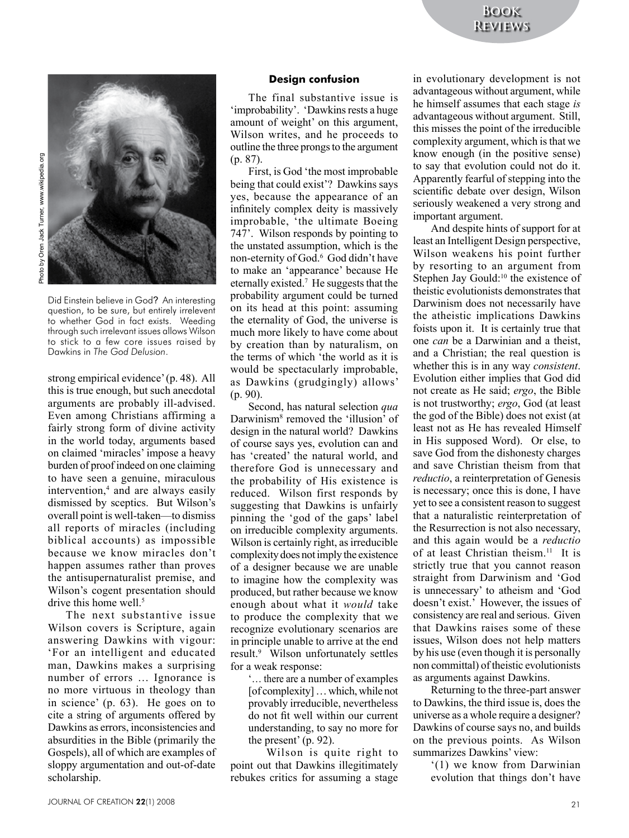



Did Einstein believe in God? An interesting question, to be sure, but entirely irrelevent to whether God in fact exists. Weeding through such irrelevant issues allows Wilson to stick to a few core issues raised by Dawkins in *The God Delusion*.

strong empirical evidence' (p. 48). All this is true enough, but such anecdotal arguments are probably ill-advised. Even among Christians affirming a fairly strong form of divine activity in the world today, arguments based on claimed 'miracles' impose a heavy burden of proof indeed on one claiming to have seen a genuine, miraculous intervention,<sup>4</sup> and are always easily dismissed by sceptics. But Wilson's overall point is well-taken—to dismiss all reports of miracles (including biblical accounts) as impossible because we know miracles don't happen assumes rather than proves the antisupernaturalist premise, and Wilson's cogent presentation should drive this home well.<sup>5</sup>

The next substantive issue Wilson covers is Scripture, again answering Dawkins with vigour: 'For an intelligent and educated man, Dawkins makes a surprising number of errors … Ignorance is no more virtuous in theology than in science' (p. 63). He goes on to cite a string of arguments offered by Dawkins as errors, inconsistencies and absurdities in the Bible (primarily the Gospels), all of which are examples of sloppy argumentation and out-of-date scholarship.

#### **Design confusion**

The final substantive issue is 'improbability'. 'Dawkins rests a huge amount of weight' on this argument, Wilson writes, and he proceeds to outline the three prongs to the argument (p. 87).

First, is God 'the most improbable being that could exist'? Dawkins says yes, because the appearance of an infinitely complex deity is massively improbable, 'the ultimate Boeing 747'. Wilson responds by pointing to the unstated assumption, which is the non-eternity of God.<sup>6</sup> God didn't have to make an 'appearance' because He eternally existed.7 He suggests that the probability argument could be turned on its head at this point: assuming the eternality of God, the universe is much more likely to have come about by creation than by naturalism, on the terms of which 'the world as it is would be spectacularly improbable, as Dawkins (grudgingly) allows' (p. 90).

Second, has natural selection *qua* Darwinism<sup>8</sup> removed the 'illusion' of design in the natural world? Dawkins of course says yes, evolution can and has 'created' the natural world, and therefore God is unnecessary and the probability of His existence is reduced. Wilson first responds by suggesting that Dawkins is unfairly pinning the 'god of the gaps' label on irreducible complexity arguments. Wilson is certainly right, as irreducible complexity does not imply the existence of a designer because we are unable to imagine how the complexity was produced, but rather because we know enough about what it *would* take to produce the complexity that we recognize evolutionary scenarios are in principle unable to arrive at the end result.9 Wilson unfortunately settles for a weak response:

... there are a number of examples [of complexity] … which, while not provably irreducible, nevertheless do not fit well within our current understanding, to say no more for the present' (p. 92).

Wilson is quite right to point out that Dawkins illegitimately rebukes critics for assuming a stage in evolutionary development is not advantageous without argument, while he himself assumes that each stage *is* advantageous without argument. Still, this misses the point of the irreducible complexity argument, which is that we know enough (in the positive sense) to say that evolution could not do it. Apparently fearful of stepping into the scientific debate over design, Wilson seriously weakened a very strong and important argument.

And despite hints of support for at least an Intelligent Design perspective, Wilson weakens his point further by resorting to an argument from Stephen Jay Gould:<sup>10</sup> the existence of theistic evolutionists demonstrates that Darwinism does not necessarily have the atheistic implications Dawkins foists upon it. It is certainly true that one *can* be a Darwinian and a theist, and a Christian; the real question is whether this is in any way *consistent*. Evolution either implies that God did not create as He said; *ergo*, the Bible is not trustworthy; *ergo*, God (at least the god of the Bible) does not exist (at least not as He has revealed Himself in His supposed Word). Or else, to save God from the dishonesty charges and save Christian theism from that *reductio*, a reinterpretation of Genesis is necessary; once this is done, I have yet to see a consistent reason to suggest that a naturalistic reinterpretation of the Resurrection is not also necessary, and this again would be a *reductio* of at least Christian theism.<sup>11</sup> It is strictly true that you cannot reason straight from Darwinism and 'God is unnecessary' to atheism and 'God doesn't exist.' However, the issues of consistency are real and serious. Given that Dawkins raises some of these issues, Wilson does not help matters by his use (even though it is personally non committal) of theistic evolutionists as arguments against Dawkins.

Returning to the three-part answer to Dawkins, the third issue is, does the universe as a whole require a designer? Dawkins of course says no, and builds on the previous points. As Wilson summarizes Dawkins' view:

'(1) we know from Darwinian evolution that things don't have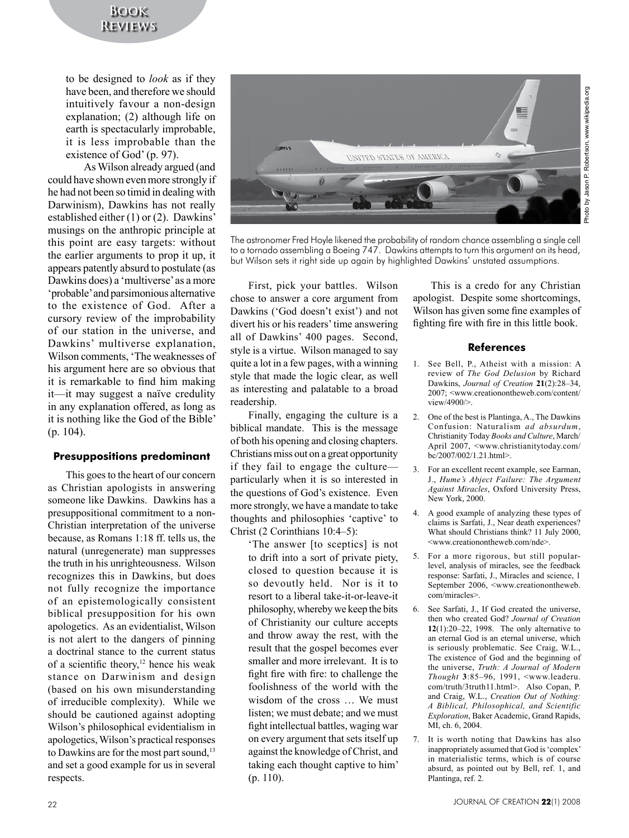## **Book Reviews**

to be designed to *look* as if they have been, and therefore we should intuitively favour a non-design explanation; (2) although life on earth is spectacularly improbable, it is less improbable than the existence of God' (p. 97).

As Wilson already argued (and could have shown even more strongly if he had not been so timid in dealing with Darwinism), Dawkins has not really established either (1) or (2). Dawkins' musings on the anthropic principle at this point are easy targets: without the earlier arguments to prop it up, it appears patently absurd to postulate (as Dawkins does) a 'multiverse' as a more 'probable' and parsimonious alternative to the existence of God. After a cursory review of the improbability of our station in the universe, and Dawkins' multiverse explanation, Wilson comments, 'The weaknesses of his argument here are so obvious that it is remarkable to find him making it—it may suggest a naïve credulity in any explanation offered, as long as it is nothing like the God of the Bible' (p. 104).

### **Presuppositions predominant**

This goes to the heart of our concern as Christian apologists in answering someone like Dawkins. Dawkins has a presuppositional commitment to a non-Christian interpretation of the universe because, as Romans 1:18 ff. tells us, the natural (unregenerate) man suppresses the truth in his unrighteousness. Wilson recognizes this in Dawkins, but does not fully recognize the importance of an epistemologically consistent biblical presupposition for his own apologetics. As an evidentialist, Wilson is not alert to the dangers of pinning a doctrinal stance to the current status of a scientific theory,<sup>12</sup> hence his weak stance on Darwinism and design (based on his own misunderstanding of irreducible complexity). While we should be cautioned against adopting Wilson's philosophical evidentialism in apologetics, Wilson's practical responses to Dawkins are for the most part sound,<sup>13</sup> and set a good example for us in several respects.



The astronomer Fred Hoyle likened the probability of random chance assembling a single cell to a tornado assembling a Boeing 747. Dawkins attempts to turn this argument on its head, but Wilson sets it right side up again by highlighted Dawkins' unstated assumptions.

First, pick your battles. Wilson chose to answer a core argument from Dawkins ('God doesn't exist') and not divert his or his readers' time answering all of Dawkins' 400 pages. Second, style is a virtue. Wilson managed to say quite a lot in a few pages, with a winning style that made the logic clear, as well as interesting and palatable to a broad readership.

Finally, engaging the culture is a biblical mandate. This is the message of both his opening and closing chapters. Christians miss out on a great opportunity if they fail to engage the culture particularly when it is so interested in the questions of God's existence. Even more strongly, we have a mandate to take thoughts and philosophies 'captive' to Christ (2 Corinthians 10:4–5):

> 'The answer [to sceptics] is not to drift into a sort of private piety, closed to question because it is so devoutly held. Nor is it to resort to a liberal take-it-or-leave-it philosophy, whereby we keep the bits of Christianity our culture accepts and throw away the rest, with the result that the gospel becomes ever smaller and more irrelevant. It is to fight fire with fire: to challenge the foolishness of the world with the wisdom of the cross … We must listen; we must debate; and we must fight intellectual battles, waging war on every argument that sets itself up against the knowledge of Christ, and taking each thought captive to him' (p. 110).

This is a credo for any Christian apologist. Despite some shortcomings, Wilson has given some fine examples of fighting fire with fire in this little book.

#### **References**

- 1. See Bell, P., Atheist with a mission: A review of *The God Delusion* by Richard Dawkins, *Journal of Creation* **21**(2):28–34, 2007; <www.creationontheweb.com/content/ view/4900/>.
- 2. One of the best is Plantinga, A., The Dawkins Confusion: Naturalism *ad absurdum*, Christianity Today *Books and Culture*, March/ April 2007, <www.christianitytoday.com/ bc/2007/002/1.21.html>.
- 3. For an excellent recent example, see Earman, J., *Hume's Abject Failure: The Argument Against Miracles*, Oxford University Press, New York, 2000.
- 4. A good example of analyzing these types of claims is Sarfati, J., Near death experiences? What should Christians think? 11 July 2000, <www.creationontheweb.com/nde>.
- 5. For a more rigorous, but still popularlevel, analysis of miracles, see the feedback response: Sarfati, J., Miracles and science, 1 September 2006,  $\leq$ www.creationontheweb. com/miracles>.
- 6. See Sarfati, J., If God created the universe, then who created God? *Journal of Creation* **12**(1):20–22, 1998. The only alternative to an eternal God is an eternal universe, which is seriously problematic. See Craig, W.L., The existence of God and the beginning of the universe, *Truth: A Journal of Modern Thought* **3**:85–96, 1991, <www.leaderu. com/truth/3truth11.html>. Also Copan, P. and Craig, W.L., *Creation Out of Nothing: A Biblical, Philosophical, and Scientific Exploration*, Baker Academic, Grand Rapids, MI, ch. 6, 2004.
- 7. It is worth noting that Dawkins has also inappropriately assumed that God is 'complex' in materialistic terms, which is of course absurd, as pointed out by Bell, ref. 1, and Plantinga, ref. 2.